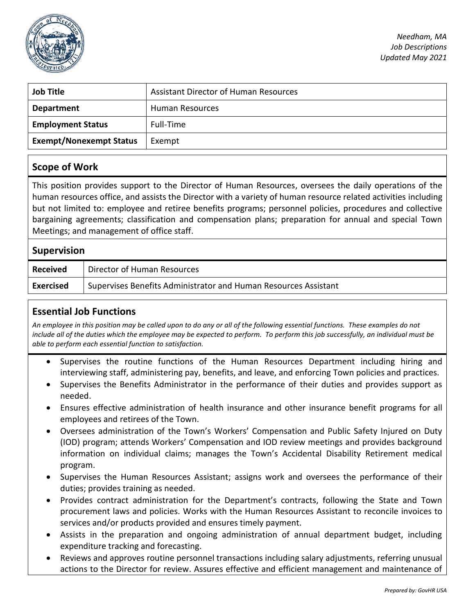

*Needham, MA Job Descriptions Updated May 2021*

| <b>Job Title</b>               | <b>Assistant Director of Human Resources</b> |
|--------------------------------|----------------------------------------------|
| <b>Department</b>              | Human Resources                              |
| <b>Employment Status</b>       | Full-Time                                    |
| <b>Exempt/Nonexempt Status</b> | Exempt                                       |

#### **Scope of Work**

This position provides support to the Director of Human Resources, oversees the daily operations of the human resources office, and assists the Director with a variety of human resource related activities including but not limited to: employee and retiree benefits programs; personnel policies, procedures and collective bargaining agreements; classification and compensation plans; preparation for annual and special Town Meetings; and management of office staff.

# **Supervision Received** | Director of Human Resources **Exercised** Supervises Benefits Administrator and Human Resources Assistant

## **Essential Job Functions**

*An employee in this position may be called upon to do any or all of the following essential functions. These examples do not include all of the duties which the employee may be expected to perform. To perform this job successfully, an individual must be able to perform each essential function to satisfaction.* 

- Supervises the routine functions of the Human Resources Department including hiring and interviewing staff, administering pay, benefits, and leave, and enforcing Town policies and practices.
- Supervises the Benefits Administrator in the performance of their duties and provides support as needed.
- Ensures effective administration of health insurance and other insurance benefit programs for all employees and retirees of the Town.
- Oversees administration of the Town's Workers' Compensation and Public Safety Injured on Duty (IOD) program; attends Workers' Compensation and IOD review meetings and provides background information on individual claims; manages the Town's Accidental Disability Retirement medical program.
- Supervises the Human Resources Assistant; assigns work and oversees the performance of their duties; provides training as needed.
- Provides contract administration for the Department's contracts, following the State and Town procurement laws and policies. Works with the Human Resources Assistant to reconcile invoices to services and/or products provided and ensures timely payment.
- Assists in the preparation and ongoing administration of annual department budget, including expenditure tracking and forecasting.
- Reviews and approves routine personnel transactions including salary adjustments, referring unusual actions to the Director for review. Assures effective and efficient management and maintenance of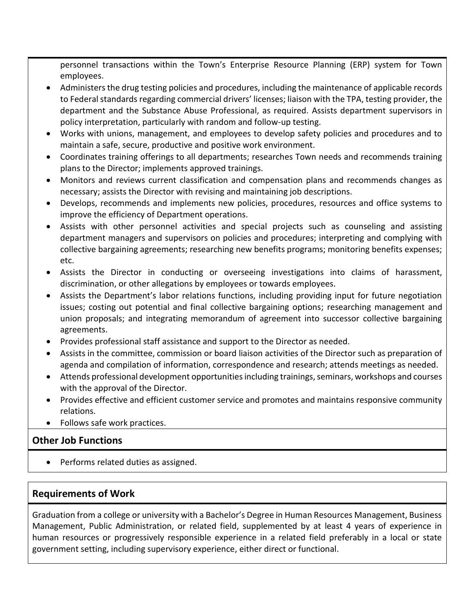personnel transactions within the Town's Enterprise Resource Planning (ERP) system for Town employees.

- Administers the drug testing policies and procedures, including the maintenance of applicable records to Federal standards regarding commercial drivers' licenses; liaison with the TPA, testing provider, the department and the Substance Abuse Professional, as required. Assists department supervisors in policy interpretation, particularly with random and follow-up testing.
- Works with unions, management, and employees to develop safety policies and procedures and to maintain a safe, secure, productive and positive work environment.
- Coordinates training offerings to all departments; researches Town needs and recommends training plans to the Director; implements approved trainings.
- Monitors and reviews current classification and compensation plans and recommends changes as necessary; assists the Director with revising and maintaining job descriptions.
- Develops, recommends and implements new policies, procedures, resources and office systems to improve the efficiency of Department operations.
- Assists with other personnel activities and special projects such as counseling and assisting department managers and supervisors on policies and procedures; interpreting and complying with collective bargaining agreements; researching new benefits programs; monitoring benefits expenses; etc.
- Assists the Director in conducting or overseeing investigations into claims of harassment, discrimination, or other allegations by employees or towards employees.
- Assists the Department's labor relations functions, including providing input for future negotiation issues; costing out potential and final collective bargaining options; researching management and union proposals; and integrating memorandum of agreement into successor collective bargaining agreements.
- Provides professional staff assistance and support to the Director as needed.
- Assists in the committee, commission or board liaison activities of the Director such as preparation of agenda and compilation of information, correspondence and research; attends meetings as needed.
- Attends professional development opportunities including trainings, seminars, workshops and courses with the approval of the Director.
- Provides effective and efficient customer service and promotes and maintains responsive community relations.
- Follows safe work practices.

## **Other Job Functions**

• Performs related duties as assigned.

### **Requirements of Work**

Graduation from a college or university with a Bachelor's Degree in Human Resources Management, Business Management, Public Administration, or related field, supplemented by at least 4 years of experience in human resources or progressively responsible experience in a related field preferably in a local or state government setting, including supervisory experience, either direct or functional.